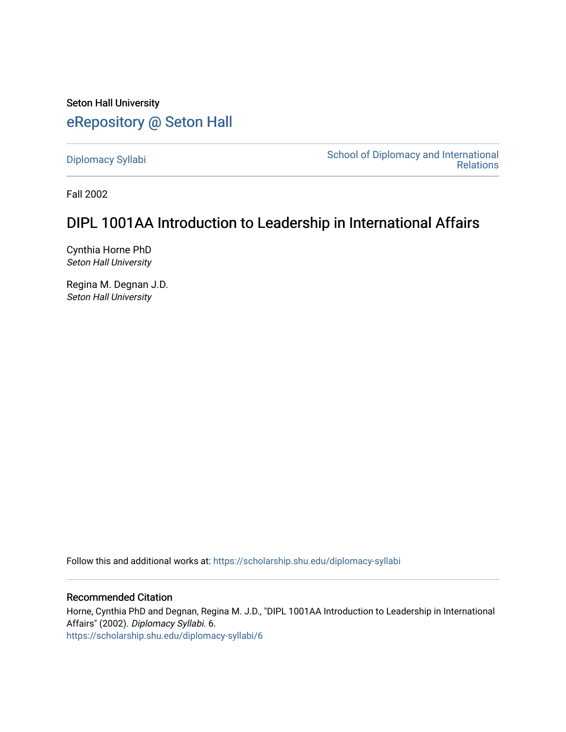Seton Hall University [eRepository @ Seton Hall](https://scholarship.shu.edu/)

[Diplomacy Syllabi](https://scholarship.shu.edu/diplomacy-syllabi) [School of Diplomacy and International](https://scholarship.shu.edu/diplomacy)  [Relations](https://scholarship.shu.edu/diplomacy) 

Fall 2002

# DIPL 1001AA Introduction to Leadership in International Affairs

Cynthia Horne PhD Seton Hall University

Regina M. Degnan J.D. Seton Hall University

Follow this and additional works at: [https://scholarship.shu.edu/diplomacy-syllabi](https://scholarship.shu.edu/diplomacy-syllabi?utm_source=scholarship.shu.edu%2Fdiplomacy-syllabi%2F6&utm_medium=PDF&utm_campaign=PDFCoverPages) 

#### Recommended Citation

Horne, Cynthia PhD and Degnan, Regina M. J.D., "DIPL 1001AA Introduction to Leadership in International Affairs" (2002). Diplomacy Syllabi. 6. [https://scholarship.shu.edu/diplomacy-syllabi/6](https://scholarship.shu.edu/diplomacy-syllabi/6?utm_source=scholarship.shu.edu%2Fdiplomacy-syllabi%2F6&utm_medium=PDF&utm_campaign=PDFCoverPages)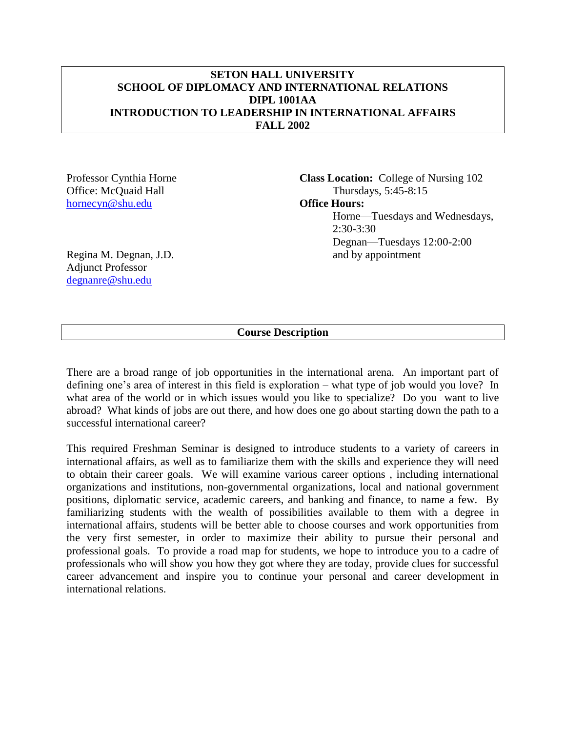#### **SETON HALL UNIVERSITY SCHOOL OF DIPLOMACY AND INTERNATIONAL RELATIONS DIPL 1001AA INTRODUCTION TO LEADERSHIP IN INTERNATIONAL AFFAIRS FALL 2002**

[hornecyn@shu.edu](mailto:hornecyn@shu.edu) **Office Hours:**

Professor Cynthia Horne **Class Location:** College of Nursing 102 Office: McQuaid Hall Thursdays, 5:45-8:15 Horne—Tuesdays and Wednesdays, 2:30-3:30 Degnan—Tuesdays 12:00-2:00 Regina M. Degnan, J.D. and by appointment

Adjunct Professor [degnanre@shu.edu](mailto:degnanre@shu.edu)

### **Course Description**

There are a broad range of job opportunities in the international arena. An important part of defining one's area of interest in this field is exploration – what type of job would you love? In what area of the world or in which issues would you like to specialize? Do you want to live abroad? What kinds of jobs are out there, and how does one go about starting down the path to a successful international career?

This required Freshman Seminar is designed to introduce students to a variety of careers in international affairs, as well as to familiarize them with the skills and experience they will need to obtain their career goals. We will examine various career options , including international organizations and institutions, non-governmental organizations, local and national government positions, diplomatic service, academic careers, and banking and finance, to name a few. By familiarizing students with the wealth of possibilities available to them with a degree in international affairs, students will be better able to choose courses and work opportunities from the very first semester, in order to maximize their ability to pursue their personal and professional goals. To provide a road map for students, we hope to introduce you to a cadre of professionals who will show you how they got where they are today, provide clues for successful career advancement and inspire you to continue your personal and career development in international relations.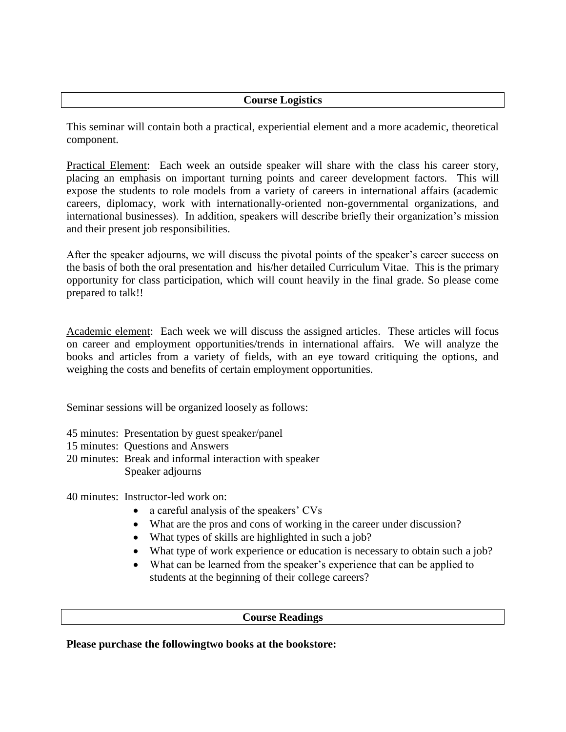### **Course Logistics**

This seminar will contain both a practical, experiential element and a more academic, theoretical component.

Practical Element: Each week an outside speaker will share with the class his career story, placing an emphasis on important turning points and career development factors. This will expose the students to role models from a variety of careers in international affairs (academic careers, diplomacy, work with internationally-oriented non-governmental organizations, and international businesses). In addition, speakers will describe briefly their organization's mission and their present job responsibilities.

After the speaker adjourns, we will discuss the pivotal points of the speaker's career success on the basis of both the oral presentation and his/her detailed Curriculum Vitae. This is the primary opportunity for class participation, which will count heavily in the final grade. So please come prepared to talk!!

Academic element: Each week we will discuss the assigned articles. These articles will focus on career and employment opportunities/trends in international affairs. We will analyze the books and articles from a variety of fields, with an eye toward critiquing the options, and weighing the costs and benefits of certain employment opportunities.

Seminar sessions will be organized loosely as follows:

- 45 minutes: Presentation by guest speaker/panel
- 15 minutes: Questions and Answers
- 20 minutes: Break and informal interaction with speaker Speaker adjourns

40 minutes: Instructor-led work on:

- a careful analysis of the speakers' CVs
- What are the pros and cons of working in the career under discussion?
- What types of skills are highlighted in such a job?
- What type of work experience or education is necessary to obtain such a job?
- What can be learned from the speaker's experience that can be applied to students at the beginning of their college careers?

#### **Course Readings**

**Please purchase the followingtwo books at the bookstore:**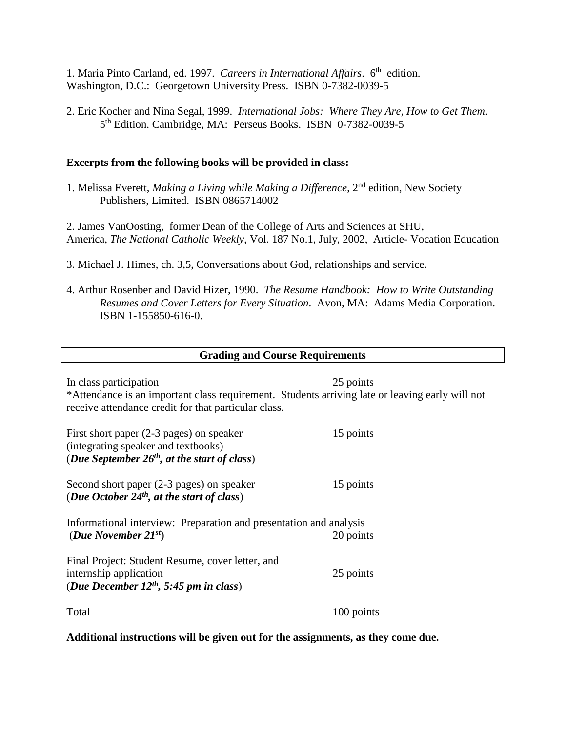1. Maria Pinto Carland, ed. 1997. Careers in International Affairs. 6<sup>th</sup> edition. Washington, D.C.: Georgetown University Press. ISBN 0-7382-0039-5

2. Eric Kocher and Nina Segal, 1999. *International Jobs: Where They Are, How to Get Them*. 5<sup>th</sup> Edition. Cambridge, MA: Perseus Books. ISBN 0-7382-0039-5

#### **Excerpts from the following books will be provided in class:**

1. Melissa Everett, *Making a Living while Making a Difference*, 2nd edition, New Society Publishers, Limited. ISBN 0865714002

2. James VanOosting, former Dean of the College of Arts and Sciences at SHU, America, *The National Catholic Weekly*, Vol. 187 No.1, July, 2002, Article- Vocation Education

- 3. Michael J. Himes, ch. 3,5, Conversations about God, relationships and service.
- 4. Arthur Rosenber and David Hizer, 1990. *The Resume Handbook: How to Write Outstanding Resumes and Cover Letters for Every Situation*. Avon, MA: Adams Media Corporation. ISBN 1-155850-616-0.

| <b>Grading and Course Requirements</b>                                                                                                                                            |            |
|-----------------------------------------------------------------------------------------------------------------------------------------------------------------------------------|------------|
| In class participation<br>*Attendance is an important class requirement. Students arriving late or leaving early will not<br>receive attendance credit for that particular class. | 25 points  |
| First short paper $(2-3$ pages) on speaker<br>(integrating speaker and textbooks)<br>(Due September $26th$ , at the start of class)                                               | 15 points  |
| Second short paper (2-3 pages) on speaker<br>(Due October $24th$ , at the start of class)                                                                                         | 15 points  |
| Informational interview: Preparation and presentation and analysis<br>(Due November $21^{st}$ )<br>20 points                                                                      |            |
| Final Project: Student Resume, cover letter, and<br>internship application<br>(Due December $12^{th}$ , 5:45 pm in class)                                                         | 25 points  |
| Total                                                                                                                                                                             | 100 points |

**Additional instructions will be given out for the assignments, as they come due.**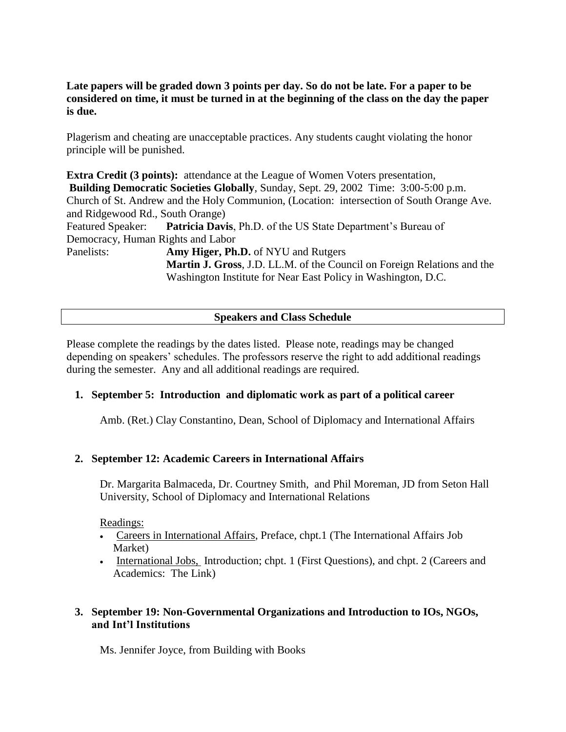### **Late papers will be graded down 3 points per day. So do not be late. For a paper to be considered on time, it must be turned in at the beginning of the class on the day the paper is due.**

Plagerism and cheating are unacceptable practices. Any students caught violating the honor principle will be punished.

**Extra Credit (3 points):** attendance at the League of Women Voters presentation, **Building Democratic Societies Globally**, Sunday, Sept. 29, 2002 Time: 3:00-5:00 p.m. Church of St. Andrew and the Holy Communion, (Location: intersection of South Orange Ave. and Ridgewood Rd., South Orange) Featured Speaker: **Patricia Davis**, Ph.D. of the US State Department's Bureau of Democracy, Human Rights and Labor Panelists: **Amy Higer, Ph.D.** of NYU and Rutgers **Martin J. Gross**, J.D. LL.M. of the Council on Foreign Relations and the Washington Institute for Near East Policy in Washington, D.C.

#### **Speakers and Class Schedule**

Please complete the readings by the dates listed. Please note, readings may be changed depending on speakers' schedules. The professors reserve the right to add additional readings during the semester. Any and all additional readings are required.

#### **1. September 5: Introduction and diplomatic work as part of a political career**

Amb. (Ret.) Clay Constantino, Dean, School of Diplomacy and International Affairs

#### **2. September 12: Academic Careers in International Affairs**

Dr. Margarita Balmaceda, Dr. Courtney Smith, and Phil Moreman, JD from Seton Hall University, School of Diplomacy and International Relations

#### Readings:

- Careers in International Affairs, Preface, chpt.1 (The International Affairs Job Market)
- International Jobs, Introduction; chpt. 1 (First Questions), and chpt. 2 (Careers and Academics: The Link)

### **3. September 19: Non-Governmental Organizations and Introduction to IOs, NGOs, and Int'l Institutions**

Ms. Jennifer Joyce, from Building with Books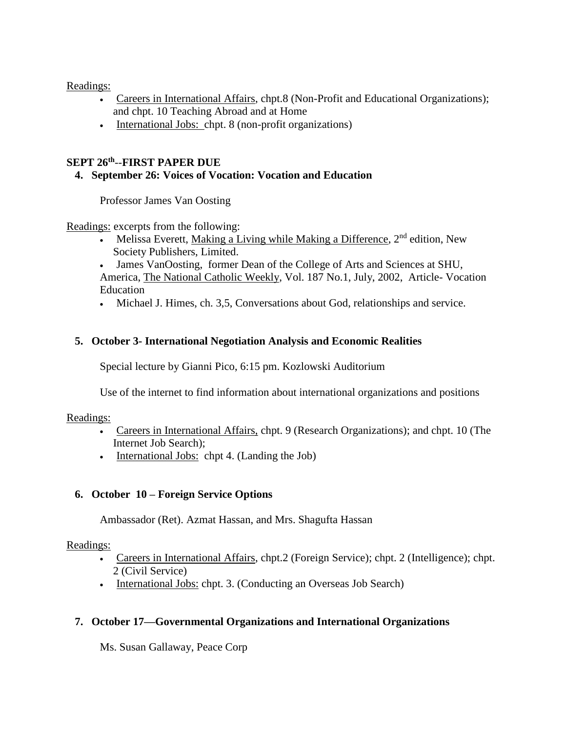Readings:

- Careers in International Affairs, chpt.8 (Non-Profit and Educational Organizations); and chpt. 10 Teaching Abroad and at Home
- International Jobs: chpt. 8 (non-profit organizations)

### **SEPT 26th** --**FIRST PAPER DUE**

### **4. September 26: Voices of Vocation: Vocation and Education**

Professor James Van Oosting

Readings: excerpts from the following:

• Melissa Everett, Making a Living while Making a Difference,  $2<sup>nd</sup>$  edition, New Society Publishers, Limited.

• James VanOosting, former Dean of the College of Arts and Sciences at SHU, America, The National Catholic Weekly, Vol. 187 No.1, July, 2002, Article- Vocation Education

• Michael J. Himes, ch. 3,5, Conversations about God, relationships and service.

### **5. October 3- International Negotiation Analysis and Economic Realities**

Special lecture by Gianni Pico, 6:15 pm. Kozlowski Auditorium

Use of the internet to find information about international organizations and positions

### Readings:

- Careers in International Affairs, chpt. 9 (Research Organizations); and chpt. 10 (The Internet Job Search);
- International Jobs: chpt 4. (Landing the Job)

### **6. October 10 – Foreign Service Options**

Ambassador (Ret). Azmat Hassan, and Mrs. Shagufta Hassan

### Readings:

- Careers in International Affairs, chpt.2 (Foreign Service); chpt. 2 (Intelligence); chpt. 2 (Civil Service)
- International Jobs: chpt. 3. (Conducting an Overseas Job Search)

### **7. October 17—Governmental Organizations and International Organizations**

Ms. Susan Gallaway, Peace Corp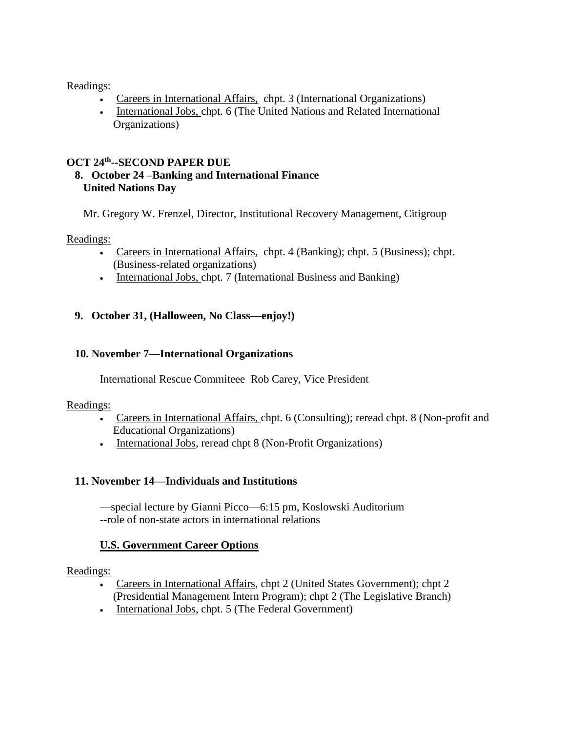Readings:

- Careers in International Affairs, chpt. 3 (International Organizations)
- International Jobs, chpt. 6 (The United Nations and Related International Organizations)

### **OCT 24th --SECOND PAPER DUE**

### **8. October 24 –Banking and International Finance United Nations Day**

Mr. Gregory W. Frenzel, Director, Institutional Recovery Management, Citigroup

#### Readings:

- Careers in International Affairs, chpt. 4 (Banking); chpt. 5 (Business); chpt. (Business-related organizations)
- International Jobs, chpt. 7 (International Business and Banking)

### **9. October 31, (Halloween, No Class—enjoy!)**

### **10. November 7—International Organizations**

International Rescue Commiteee Rob Carey, Vice President

#### Readings:

- Careers in International Affairs, chpt. 6 (Consulting); reread chpt. 8 (Non-profit and Educational Organizations)
- International Jobs, reread chpt 8 (Non-Profit Organizations)

### **11. November 14—Individuals and Institutions**

—special lecture by Gianni Picco—6:15 pm, Koslowski Auditorium --role of non-state actors in international relations

### **U.S. Government Career Options**

#### Readings:

- Careers in International Affairs, chpt 2 (United States Government); chpt 2 (Presidential Management Intern Program); chpt 2 (The Legislative Branch)
- International Jobs, chpt. 5 (The Federal Government)